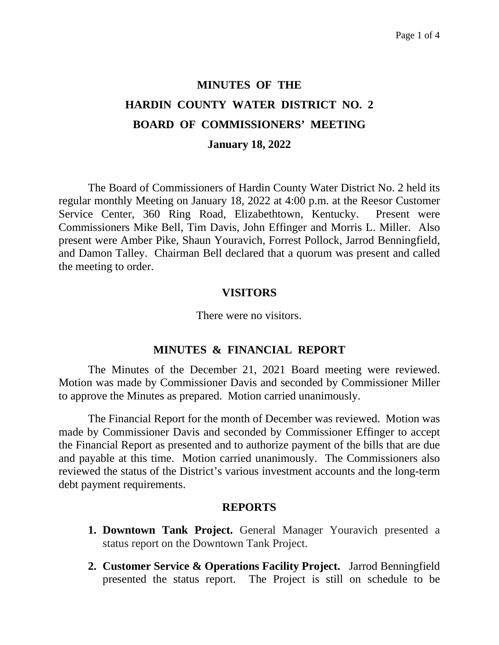# **MINUTES OF THE HARDIN COUNTY WATER DISTRICT NO. 2 BOARD OF COMMISSIONERS' MEETING January 18, 2022**

The Board of Commissioners of Hardin County Water District No. 2 held its regular monthly Meeting on January 18, 2022 at 4:00 p.m. at the Reesor Customer Service Center, 360 Ring Road, Elizabethtown, Kentucky. Present were Commissioners Mike Bell, Tim Davis, John Effinger and Morris L. Miller. Also present were Amber Pike, Shaun Youravich, Forrest Pollock, Jarrod Benningfield, and Damon Talley. Chairman Bell declared that a quorum was present and called the meeting to order.

#### **VISITORS**

There were no visitors.

#### **MINUTES & FINANCIAL REPORT**

The Minutes of the December 21, 2021 Board meeting were reviewed. Motion was made by Commissioner Davis and seconded by Commissioner Miller to approve the Minutes as prepared. Motion carried unanimously.

The Financial Report for the month of December was reviewed. Motion was made by Commissioner Davis and seconded by Commissioner Effinger to accept the Financial Report as presented and to authorize payment of the bills that are due and payable at this time. Motion carried unanimously. The Commissioners also reviewed the status of the District's various investment accounts and the long-term debt payment requirements.

#### **REPORTS**

- **1. Downtown Tank Project.** General Manager Youravich presented a status report on the Downtown Tank Project.
- **2. Customer Service & Operations Facility Project.** Jarrod Benningfield presented the status report. The Project is still on schedule to be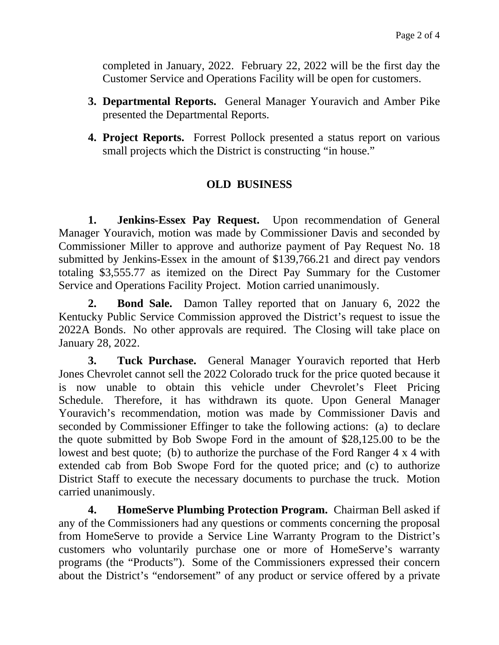completed in January, 2022. February 22, 2022 will be the first day the Customer Service and Operations Facility will be open for customers.

- **3. Departmental Reports.** General Manager Youravich and Amber Pike presented the Departmental Reports.
- **4. Project Reports.** Forrest Pollock presented a status report on various small projects which the District is constructing "in house."

## **OLD BUSINESS**

**1. Jenkins-Essex Pay Request.** Upon recommendation of General Manager Youravich, motion was made by Commissioner Davis and seconded by Commissioner Miller to approve and authorize payment of Pay Request No. 18 submitted by Jenkins-Essex in the amount of \$139,766.21 and direct pay vendors totaling \$3,555.77 as itemized on the Direct Pay Summary for the Customer Service and Operations Facility Project. Motion carried unanimously.

**2. Bond Sale.** Damon Talley reported that on January 6, 2022 the Kentucky Public Service Commission approved the District's request to issue the 2022A Bonds. No other approvals are required. The Closing will take place on January 28, 2022.

**3. Tuck Purchase.** General Manager Youravich reported that Herb Jones Chevrolet cannot sell the 2022 Colorado truck for the price quoted because it is now unable to obtain this vehicle under Chevrolet's Fleet Pricing Schedule. Therefore, it has withdrawn its quote. Upon General Manager Youravich's recommendation, motion was made by Commissioner Davis and seconded by Commissioner Effinger to take the following actions: (a) to declare the quote submitted by Bob Swope Ford in the amount of \$28,125.00 to be the lowest and best quote; (b) to authorize the purchase of the Ford Ranger 4 x 4 with extended cab from Bob Swope Ford for the quoted price; and (c) to authorize District Staff to execute the necessary documents to purchase the truck. Motion carried unanimously.

**4. HomeServe Plumbing Protection Program.** Chairman Bell asked if any of the Commissioners had any questions or comments concerning the proposal from HomeServe to provide a Service Line Warranty Program to the District's customers who voluntarily purchase one or more of HomeServe's warranty programs (the "Products"). Some of the Commissioners expressed their concern about the District's "endorsement" of any product or service offered by a private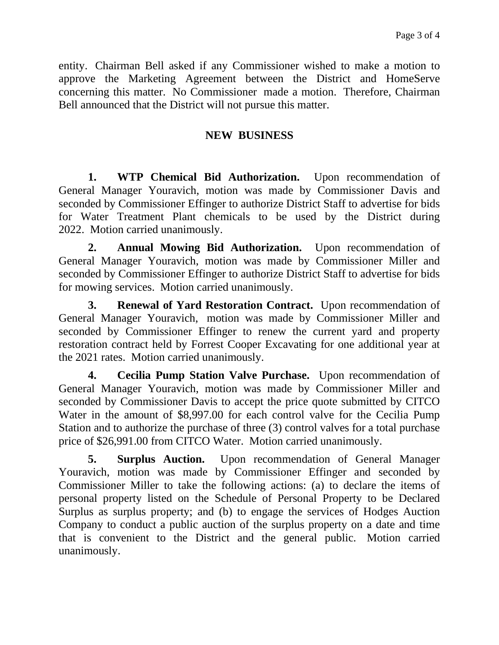entity. Chairman Bell asked if any Commissioner wished to make a motion to approve the Marketing Agreement between the District and HomeServe concerning this matter. No Commissioner made a motion. Therefore, Chairman Bell announced that the District will not pursue this matter.

## **NEW BUSINESS**

**1. WTP Chemical Bid Authorization.** Upon recommendation of General Manager Youravich, motion was made by Commissioner Davis and seconded by Commissioner Effinger to authorize District Staff to advertise for bids for Water Treatment Plant chemicals to be used by the District during 2022. Motion carried unanimously.

**2. Annual Mowing Bid Authorization.** Upon recommendation of General Manager Youravich, motion was made by Commissioner Miller and seconded by Commissioner Effinger to authorize District Staff to advertise for bids for mowing services. Motion carried unanimously.

**3. Renewal of Yard Restoration Contract.** Upon recommendation of General Manager Youravich, motion was made by Commissioner Miller and seconded by Commissioner Effinger to renew the current yard and property restoration contract held by Forrest Cooper Excavating for one additional year at the 2021 rates. Motion carried unanimously.

**4. Cecilia Pump Station Valve Purchase.** Upon recommendation of General Manager Youravich, motion was made by Commissioner Miller and seconded by Commissioner Davis to accept the price quote submitted by CITCO Water in the amount of \$8,997.00 for each control valve for the Cecilia Pump Station and to authorize the purchase of three (3) control valves for a total purchase price of \$26,991.00 from CITCO Water. Motion carried unanimously.

**5. Surplus Auction.** Upon recommendation of General Manager Youravich, motion was made by Commissioner Effinger and seconded by Commissioner Miller to take the following actions: (a) to declare the items of personal property listed on the Schedule of Personal Property to be Declared Surplus as surplus property; and (b) to engage the services of Hodges Auction Company to conduct a public auction of the surplus property on a date and time that is convenient to the District and the general public. Motion carried unanimously.